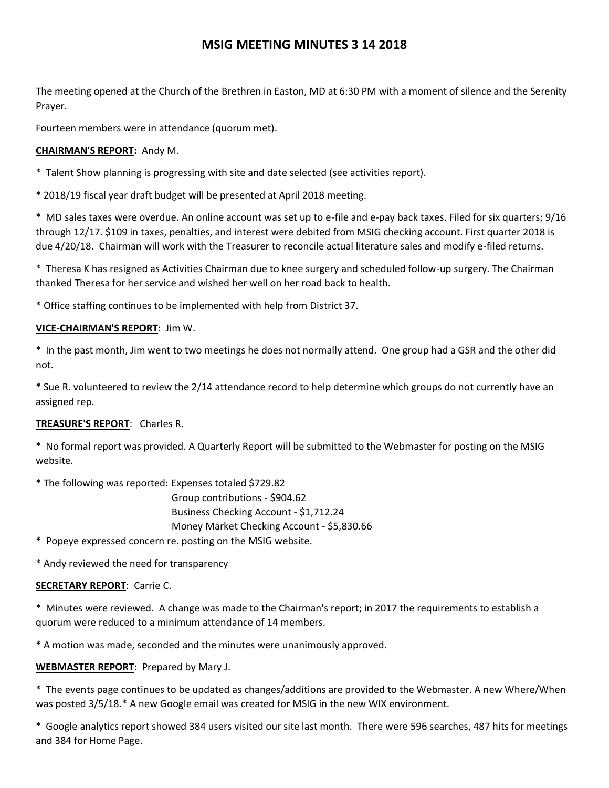# **MSIG MEETING MINUTES 3 14 2018**

The meeting opened at the Church of the Brethren in Easton, MD at 6:30 PM with a moment of silence and the Serenity Prayer.

Fourteen members were in attendance (quorum met).

# **CHAIRMAN'S REPORT:** Andy M.

\* Talent Show planning is progressing with site and date selected (see activities report).

\* 2018/19 fiscal year draft budget will be presented at April 2018 meeting.

\* MD sales taxes were overdue. An online account was set up to e-file and e-pay back taxes. Filed for six quarters; 9/16 through 12/17. \$109 in taxes, penalties, and interest were debited from MSIG checking account. First quarter 2018 is due 4/20/18. Chairman will work with the Treasurer to reconcile actual literature sales and modify e-filed returns.

\* Theresa K has resigned as Activities Chairman due to knee surgery and scheduled follow-up surgery. The Chairman thanked Theresa for her service and wished her well on her road back to health.

\* Office staffing continues to be implemented with help from District 37.

# **VICE-CHAIRMAN'S REPORT**: Jim W.

\* In the past month, Jim went to two meetings he does not normally attend. One group had a GSR and the other did not.

\* Sue R. volunteered to review the 2/14 attendance record to help determine which groups do not currently have an assigned rep.

## **TREASURE'S REPORT**: Charles R.

\* No formal report was provided. A Quarterly Report will be submitted to the Webmaster for posting on the MSIG website.

\* The following was reported: Expenses totaled \$729.82

 Group contributions - \$904.62 Business Checking Account - \$1,712.24 Money Market Checking Account - \$5,830.66

\* Popeye expressed concern re. posting on the MSIG website.

\* Andy reviewed the need for transparency

## **SECRETARY REPORT**: Carrie C.

\* Minutes were reviewed. A change was made to the Chairman's report; in 2017 the requirements to establish a quorum were reduced to a minimum attendance of 14 members.

\* A motion was made, seconded and the minutes were unanimously approved.

## **WEBMASTER REPORT**: Prepared by Mary J.

\* The events page continues to be updated as changes/additions are provided to the Webmaster. A new Where/When was posted 3/5/18.\* A new Google email was created for MSIG in the new WIX environment.

\* Google analytics report showed 384 users visited our site last month. There were 596 searches, 487 hits for meetings and 384 for Home Page.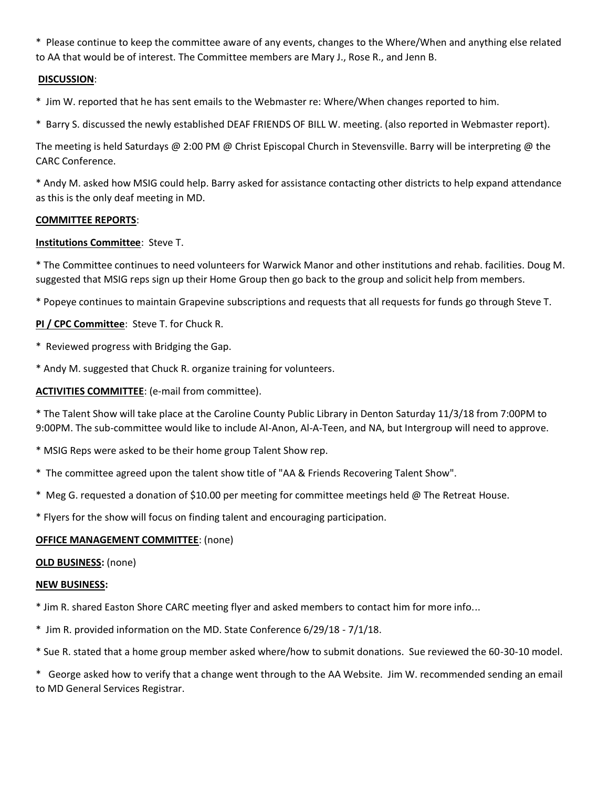\* Please continue to keep the committee aware of any events, changes to the Where/When and anything else related to AA that would be of interest. The Committee members are Mary J., Rose R., and Jenn B.

#### **DISCUSSION**:

\* Jim W. reported that he has sent emails to the Webmaster re: Where/When changes reported to him.

\* Barry S. discussed the newly established DEAF FRIENDS OF BILL W. meeting. (also reported in Webmaster report).

The meeting is held Saturdays @ 2:00 PM @ Christ Episcopal Church in Stevensville. Barry will be interpreting @ the CARC Conference.

\* Andy M. asked how MSIG could help. Barry asked for assistance contacting other districts to help expand attendance as this is the only deaf meeting in MD.

#### **COMMITTEE REPORTS**:

#### **Institutions Committee**: Steve T.

\* The Committee continues to need volunteers for Warwick Manor and other institutions and rehab. facilities. Doug M. suggested that MSIG reps sign up their Home Group then go back to the group and solicit help from members.

\* Popeye continues to maintain Grapevine subscriptions and requests that all requests for funds go through Steve T.

**PI / CPC Committee**: Steve T. for Chuck R.

- \* Reviewed progress with Bridging the Gap.
- \* Andy M. suggested that Chuck R. organize training for volunteers.

**ACTIVITIES COMMITTEE**: (e-mail from committee).

\* The Talent Show will take place at the Caroline County Public Library in Denton Saturday 11/3/18 from 7:00PM to 9:00PM. The sub-committee would like to include Al-Anon, Al-A-Teen, and NA, but Intergroup will need to approve.

- \* MSIG Reps were asked to be their home group Talent Show rep.
- \* The committee agreed upon the talent show title of "AA & Friends Recovering Talent Show".
- \* Meg G. requested a donation of \$10.00 per meeting for committee meetings held @ The Retreat House.

\* Flyers for the show will focus on finding talent and encouraging participation.

#### **OFFICE MANAGEMENT COMMITTEE**: (none)

#### **OLD BUSINESS:** (none)

#### **NEW BUSINESS:**

- \* Jim R. shared Easton Shore CARC meeting flyer and asked members to contact him for more info...
- \* Jim R. provided information on the MD. State Conference 6/29/18 7/1/18.
- \* Sue R. stated that a home group member asked where/how to submit donations. Sue reviewed the 60-30-10 model.

\* George asked how to verify that a change went through to the AA Website. Jim W. recommended sending an email to MD General Services Registrar.